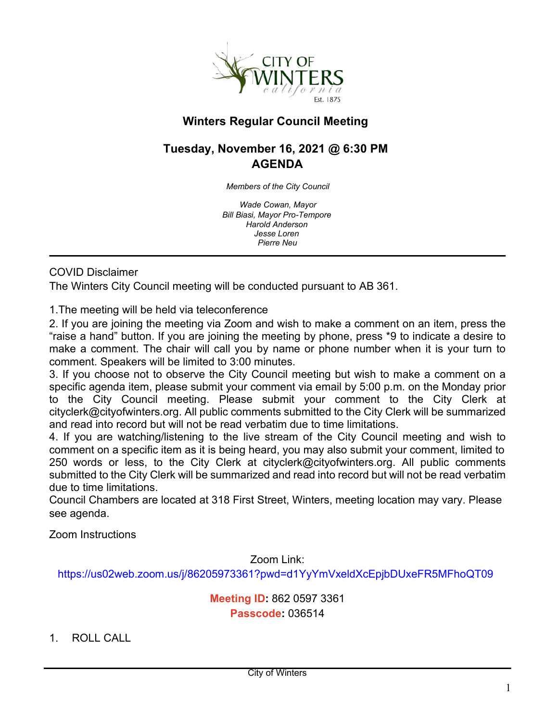

# **Winters Regular Council Meeting**

# **Tuesday, November 16, 2021 @ 6:30 PM AGENDA**

*Members of the City Council*

*Wade Cowan, Mayor Bill Biasi, Mayor Pro-Tempore Harold Anderson Jesse Loren Pierre Neu*

#### COVID Disclaimer

The Winters City Council meeting will be conducted pursuant to AB 361.

1.The meeting will be held via teleconference

2. If you are joining the meeting via Zoom and wish to make a comment on an item, press the "raise a hand" button. If you are joining the meeting by phone, press \*9 to indicate a desire to make a comment. The chair will call you by name or phone number when it is your turn to comment. Speakers will be limited to 3:00 minutes.

3. If you choose not to observe the City Council meeting but wish to make a comment on a specific agenda item, please submit your comment via email by 5:00 p.m. on the Monday prior to the City Council meeting. Please submit your comment to the City Clerk at cityclerk@cityofwinters.org. All public comments submitted to the City Clerk will be summarized and read into record but will not be read verbatim due to time limitations.

4. If you are watching/listening to the live stream of the City Council meeting and wish to comment on a specific item as it is being heard, you may also submit your comment, limited to 250 words or less, to the City Clerk at cityclerk@cityofwinters.org. All public comments submitted to the City Clerk will be summarized and read into record but will not be read verbatim due to time limitations.

Council Chambers are located at 318 First Street, Winters, meeting location may vary. Please see agenda.

Zoom Instructions

Zoom Link:

<https://us02web.zoom.us/j/86205973361?pwd=d1YyYmVxeldXcEpjbDUxeFR5MFhoQT09>

**Meeting ID:** 862 0597 3361 **Passcode:** 036514

1. ROLL CALL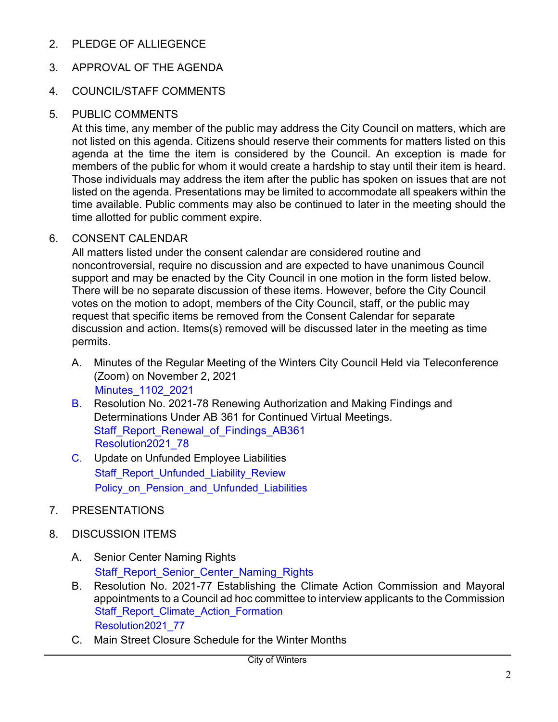2. PLEDGE OF ALLIEGENCE

## 3. APPROVAL OF THE AGENDA

## 4. COUNCIL/STAFF COMMENTS

### 5. PUBLIC COMMENTS

At this time, any member of the public may address the City Council on matters, which are not listed on this agenda. Citizens should reserve their comments for matters listed on this agenda at the time the item is considered by the Council. An exception is made for members of the public for whom it would create a hardship to stay until their item is heard. Those individuals may address the item after the public has spoken on issues that are not listed on the agenda. Presentations may be limited to accommodate all speakers within the time available. Public comments may also be continued to later in the meeting should the time allotted for public comment expire.

## 6. CONSENT CALENDAR

All matters listed under the consent calendar are considered routine and noncontroversial, require no discussion and are expected to have unanimous Council support and may be enacted by the City Council in one motion in the form listed below. There will be no separate discussion of these items. However, before the City Council votes on the motion to adopt, members of the City Council, staff, or the public may request that specific items be removed from the Consent Calendar for separate discussion and action. Items(s) removed will be discussed later in the meeting as time permits.

- A. Minutes of the Regular Meeting of the Winters City Council Held via Teleconference (Zoom) on November 2, 2021 [Minutes\\_1102\\_2021](https://legistarweb-production.s3.amazonaws.com/uploads/attachment/pdf/1135131/20211102_Min__2_.pdf)
- B. Resolution No. 2021-78 Renewing Authorization and Making Findings and Determinations Under AB 361 for Continued Virtual Meetings. Staff Report Renewal of Findings AB361 [Resolution2021\\_78](https://legistarweb-production.s3.amazonaws.com/uploads/attachment/pdf/1135139/Resolution21_78RenewAB361__1_.pdf)
- C. Update on Unfunded Employee Liabilities Staff Report Unfunded Liability Review Policy on Pension and Unfunded Liabilities
- 7. PRESENTATIONS
- 8. DISCUSSION ITEMS
	- A. Senior Center Naming Rights [Staff\\_Report\\_Senior\\_Center\\_Naming\\_Rights](https://legistarweb-production.s3.amazonaws.com/uploads/attachment/pdf/1135157/Senior_Center_Naming_Rights_2021_1116__1_.pdf)
	- B. Resolution No. 2021-77 Establishing the Climate Action Commission and Mayoral appointments to a Council ad hoc committee to interview applicants to the Commission [Staff\\_Report\\_Climate\\_Action\\_Formation](https://legistarweb-production.s3.amazonaws.com/uploads/attachment/pdf/1135175/CACformation_2021_1116__3_.pdf) [Resolution2021\\_77](https://legistarweb-production.s3.amazonaws.com/uploads/attachment/pdf/1135178/Winters__Resolution_Climate_Action_Commission2021_1116.pdf)
	- C. Main Street Closure Schedule for the Winter Months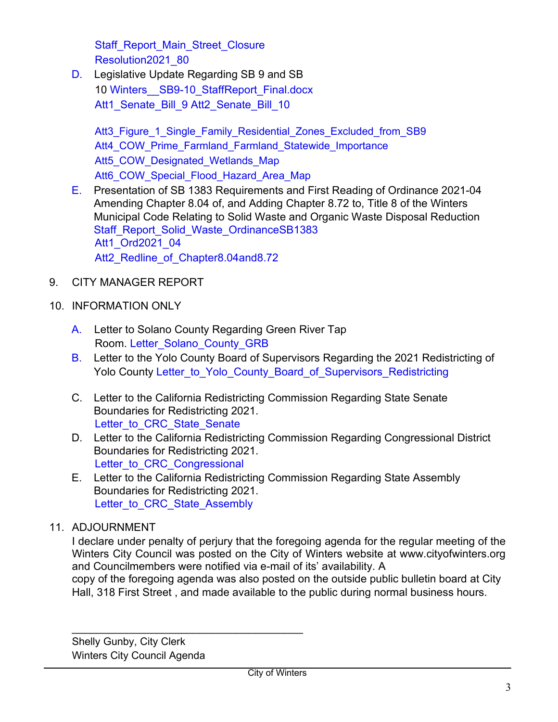[Staff\\_Report\\_Main\\_Street\\_Closure](https://legistarweb-production.s3.amazonaws.com/uploads/attachment/pdf/1137803/MainStClosureSchedule_2021_1116__2_.pdf) [Resolution2021\\_80](https://legistarweb-production.s3.amazonaws.com/uploads/attachment/pdf/1137808/MainStClosureScheduleLiftedReso_2021-1116__1_.pdf)

D. Legislative Update Regarding SB 9 and SB 10 [Winters\\_\\_SB9-10\\_StaffReport\\_Final.docx](https://legistarweb-production.s3.amazonaws.com/uploads/attachment/pdf/1137901/Winters__SB9-10_StaffReport_Final.pdf) [Att1\\_Senate\\_Bill\\_9](https://legistarweb-production.s3.amazonaws.com/uploads/attachment/pdf/1134048/Att._1_-_SB_9.pdf) [Att2\\_Senate\\_Bill\\_10](https://legistarweb-production.s3.amazonaws.com/uploads/attachment/pdf/1134049/Att._2_-_SB_10.pdf)

Att3 Figure 1 Single Family Residential Zones Excluded from SB9 Att4 COW Prime Farmland Farmland Statewide Importance [Att5\\_COW\\_Designated\\_Wetlands\\_Map](https://legistarweb-production.s3.amazonaws.com/uploads/attachment/pdf/1134052/Att._5_-_Wetland_Map.pdf) [Att6\\_COW\\_Special\\_Flood\\_Hazard\\_Area\\_Map](https://legistarweb-production.s3.amazonaws.com/uploads/attachment/pdf/1134054/Att._6_-_100_Year_Floodplain_Map.pdf)

- E. Presentation of SB 1383 Requirements and First Reading of Ordinance 2021-04 Amending Chapter 8.04 of, and Adding Chapter 8.72 to, Title 8 of the Winters Municipal Code Relating to Solid Waste and Organic Waste Disposal Reduction [Staff\\_Report\\_Solid\\_Waste\\_OrdinanceSB1383](https://legistarweb-production.s3.amazonaws.com/uploads/attachment/pdf/1137398/Winters__Staff_Report_re_SB_1383_Ordinance.pdf) [Att1\\_Ord2021\\_04](https://legistarweb-production.s3.amazonaws.com/uploads/attachment/pdf/1137397/Winters_SB_1383_Ordinance.pdf) [Att2\\_Redline\\_of\\_Chapter8.04and8.72](https://legistarweb-production.s3.amazonaws.com/uploads/attachment/pdf/1136544/Winters_Redline_Solid_Waste_Ordinance.pdf)
- 9. CITY MANAGER REPORT
- 10. INFORMATION ONLY
	- A. Letter to Solano County Regarding Green River Tap Room. [Letter\\_Solano\\_County\\_GRB](https://legistarweb-production.s3.amazonaws.com/uploads/attachment/pdf/1133722/GRB_Yolo_Winters_Nov2021_Signed.pdf)
	- B. Letter to the Yolo County Board of Supervisors Regarding the 2021 Redistricting of Yolo County Letter to Yolo\_County\_Board\_of\_Supervisors\_Redistricting
	- C. Letter to the California Redistricting Commission Regarding State Senate Boundaries for Redistricting 2021. [Letter\\_to\\_CRC\\_State\\_Senate](https://legistarweb-production.s3.amazonaws.com/uploads/attachment/pdf/1137414/CityofWinters_State_Senate_Redistricting.pdf)
	- D. Letter to the California Redistricting Commission Regarding Congressional District Boundaries for Redistricting 2021. Letter to CRC Congressional
	- E. Letter to the California Redistricting Commission Regarding State Assembly Boundaries for Redistricting 2021. Letter to CRC State Assembly

# 11. ADJOURNMENT

I declare under penalty of perjury that the foregoing agenda for the regular meeting of the Winters City Council was posted on the City of Winters website at www.cityofwinters.org and Councilmembers were notified via e-mail of its' availability. A

copy of the foregoing agenda was also posted on the outside public bulletin board at City Hall, 318 First Street , and made available to the public during normal business hours.

Shelly Gunby, City Clerk Winters City Council Agenda

\_\_\_\_\_\_\_\_\_\_\_\_\_\_\_\_\_\_\_\_\_\_\_\_\_\_\_\_\_\_\_\_\_\_\_\_\_\_